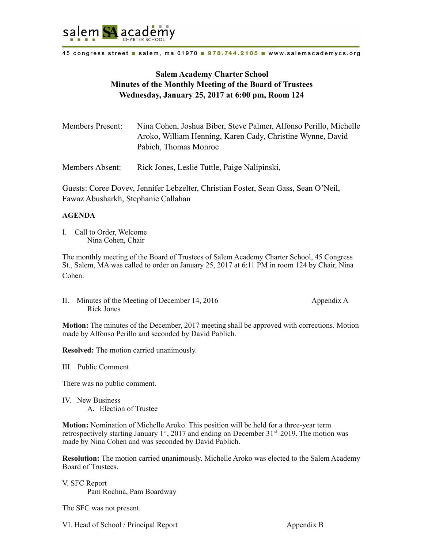

45 congress street a salem, ma 01970 a 978.744.2105 a www.salemacademycs.org

## **Salem Academy Charter School Minutes of the Monthly Meeting of the Board of Trustees Wednesday, January 25, 2017 at 6:00 pm, Room 124**

| <b>Members Present:</b> | Nina Cohen, Joshua Biber, Steve Palmer, Alfonso Perillo, Michelle |
|-------------------------|-------------------------------------------------------------------|
|                         | Aroko, William Henning, Karen Cady, Christine Wynne, David        |
|                         | Pabich, Thomas Monroe                                             |
|                         |                                                                   |

Members Absent: Rick Jones, Leslie Tuttle, Paige Nalipinski,

Guests: Coree Dovev, Jennifer Lebzelter, Christian Foster, Sean Gass, Sean O'Neil, Fawaz Abusharkh, Stephanie Callahan

## **AGENDA**

I. Call to Order, Welcome Nina Cohen, Chair

The monthly meeting of the Board of Trustees of Salem Academy Charter School, 45 Congress St., Salem, MA was called to order on January 25, 2017 at 6:11 PM in room 124 by Chair, Nina Cohen.

II. Minutes of the Meeting of December 14, 2016 Appendix A Rick Jones

**Motion:** The minutes of the December, 2017 meeting shall be approved with corrections. Motion made by Alfonso Perillo and seconded by David Pablich.

**Resolved:** The motion carried unanimously.

III. Public Comment

There was no public comment.

IV. New Business A. Election of Trustee

**Motion:** Nomination of Michelle Aroko. This position will be held for a three-year term retrospectively starting January 1<sup>st</sup>, 2017 and ending on December 31<sup>st,</sup> 2019. The motion was made by Nina Cohen and was seconded by David Pablich.

**Resolution:** The motion carried unanimously. Michelle Aroko was elected to the Salem Academy Board of Trustees.

V. SFC Report Pam Rochna, Pam Boardway

The SFC was not present.

VI. Head of School / Principal Report Appendix B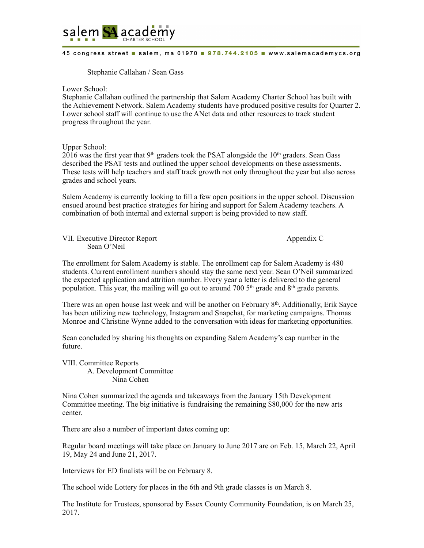

## 45 congress street a salem, ma 01970 a 978.744.2105 a www.salemacademycs.org

## Stephanie Callahan / Sean Gass

Lower School:

Stephanie Callahan outlined the partnership that Salem Academy Charter School has built with the Achievement Network. Salem Academy students have produced positive results for Quarter 2. Lower school staff will continue to use the ANet data and other resources to track student progress throughout the year.

Upper School:

 $2016$  was the first year that 9<sup>th</sup> graders took the PSAT alongside the 10<sup>th</sup> graders. Sean Gass described the PSAT tests and outlined the upper school developments on these assessments. These tests will help teachers and staff track growth not only throughout the year but also across grades and school years.

Salem Academy is currently looking to fill a few open positions in the upper school. Discussion ensued around best practice strategies for hiring and support for Salem Academy teachers. A combination of both internal and external support is being provided to new staff.

VII. Executive Director Report Appendix C Sean O'Neil

The enrollment for Salem Academy is stable. The enrollment cap for Salem Academy is 480 students. Current enrollment numbers should stay the same next year. Sean O'Neil summarized the expected application and attrition number. Every year a letter is delivered to the general population. This year, the mailing will go out to around 700  $5<sup>th</sup>$  grade and 8<sup>th</sup> grade parents.

There was an open house last week and will be another on February 8<sup>th</sup>. Additionally, Erik Sayce has been utilizing new technology, Instagram and Snapchat, for marketing campaigns. Thomas Monroe and Christine Wynne added to the conversation with ideas for marketing opportunities.

Sean concluded by sharing his thoughts on expanding Salem Academy's cap number in the future.

VIII. Committee Reports A. Development Committee Nina Cohen

Nina Cohen summarized the agenda and takeaways from the January 15th Development Committee meeting. The big initiative is fundraising the remaining \$80,000 for the new arts center.

There are also a number of important dates coming up:

Regular board meetings will take place on January to June 2017 are on Feb. 15, March 22, April 19, May 24 and June 21, 2017.

Interviews for ED finalists will be on February 8.

The school wide Lottery for places in the 6th and 9th grade classes is on March 8.

The Institute for Trustees, sponsored by Essex County Community Foundation, is on March 25, 2017.